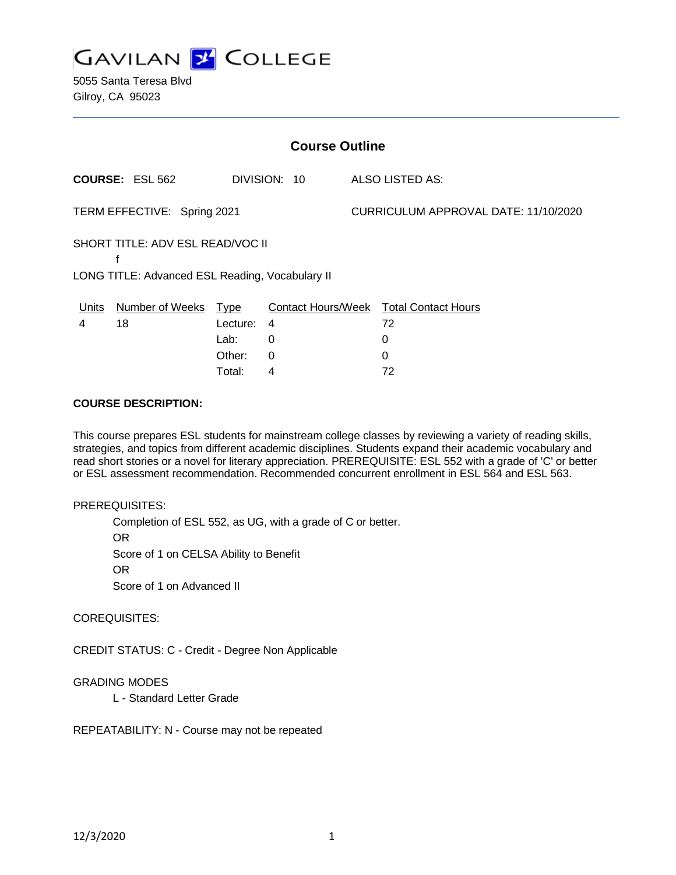

| <b>Course Outline</b>                                                                    |                        |          |              |                                      |                                        |
|------------------------------------------------------------------------------------------|------------------------|----------|--------------|--------------------------------------|----------------------------------------|
|                                                                                          | <b>COURSE: ESL 562</b> |          | DIVISION: 10 |                                      | ALSO LISTED AS:                        |
| TERM EFFECTIVE: Spring 2021                                                              |                        |          |              | CURRICULUM APPROVAL DATE: 11/10/2020 |                                        |
| SHORT TITLE: ADV ESL READ/VOC II<br>f<br>LONG TITLE: Advanced ESL Reading, Vocabulary II |                        |          |              |                                      |                                        |
| Units                                                                                    | Number of Weeks Type   |          |              |                                      | Contact Hours/Week Total Contact Hours |
| 4                                                                                        | 18                     | Lecture: | 4            |                                      | 72                                     |
|                                                                                          |                        | Lab:     | 0            |                                      | 0                                      |
|                                                                                          |                        | Other:   | 0            |                                      | 0                                      |
|                                                                                          |                        | Total:   | 4            |                                      | 72                                     |

### **COURSE DESCRIPTION:**

This course prepares ESL students for mainstream college classes by reviewing a variety of reading skills, strategies, and topics from different academic disciplines. Students expand their academic vocabulary and read short stories or a novel for literary appreciation. PREREQUISITE: ESL 552 with a grade of 'C' or better or ESL assessment recommendation. Recommended concurrent enrollment in ESL 564 and ESL 563.

#### PREREQUISITES:

Completion of ESL 552, as UG, with a grade of C or better. OR Score of 1 on CELSA Ability to Benefit OR Score of 1 on Advanced II

COREQUISITES:

CREDIT STATUS: C - Credit - Degree Non Applicable

### GRADING MODES

L - Standard Letter Grade

REPEATABILITY: N - Course may not be repeated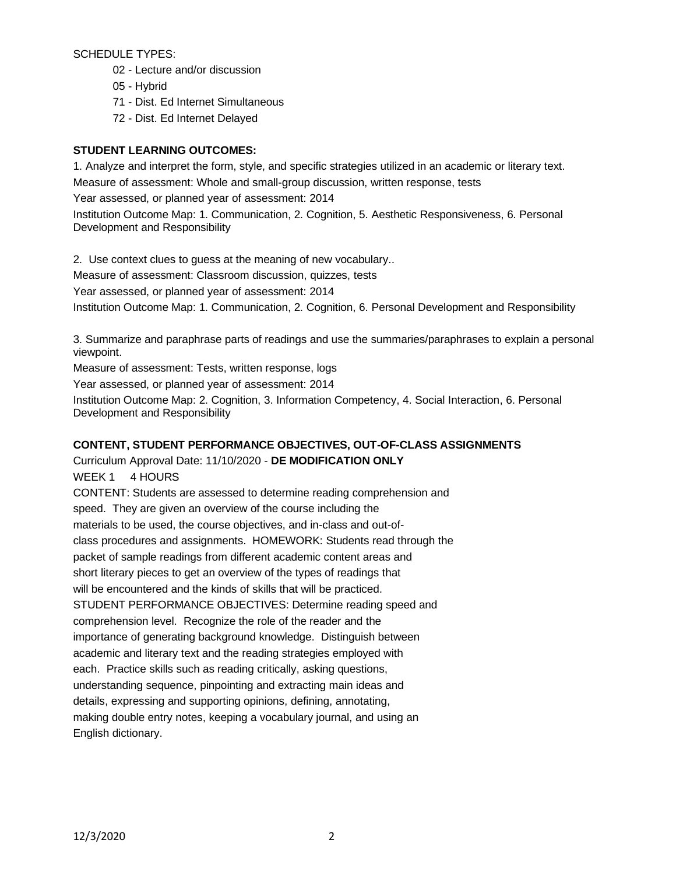SCHEDULE TYPES:

- 02 Lecture and/or discussion
- 05 Hybrid
- 71 Dist. Ed Internet Simultaneous
- 72 Dist. Ed Internet Delayed

# **STUDENT LEARNING OUTCOMES:**

1. Analyze and interpret the form, style, and specific strategies utilized in an academic or literary text. Measure of assessment: Whole and small-group discussion, written response, tests Year assessed, or planned year of assessment: 2014 Institution Outcome Map: 1. Communication, 2. Cognition, 5. Aesthetic Responsiveness, 6. Personal

Development and Responsibility

2. Use context clues to guess at the meaning of new vocabulary.. Measure of assessment: Classroom discussion, quizzes, tests Year assessed, or planned year of assessment: 2014 Institution Outcome Map: 1. Communication, 2. Cognition, 6. Personal Development and Responsibility

3. Summarize and paraphrase parts of readings and use the summaries/paraphrases to explain a personal viewpoint.

Measure of assessment: Tests, written response, logs

Year assessed, or planned year of assessment: 2014

Institution Outcome Map: 2. Cognition, 3. Information Competency, 4. Social Interaction, 6. Personal Development and Responsibility

# **CONTENT, STUDENT PERFORMANCE OBJECTIVES, OUT-OF-CLASS ASSIGNMENTS**

Curriculum Approval Date: 11/10/2020 - **DE MODIFICATION ONLY** WEEK 1 4 HOURS CONTENT: Students are assessed to determine reading comprehension and speed. They are given an overview of the course including the materials to be used, the course objectives, and in-class and out-ofclass procedures and assignments. HOMEWORK: Students read through the packet of sample readings from different academic content areas and short literary pieces to get an overview of the types of readings that will be encountered and the kinds of skills that will be practiced. STUDENT PERFORMANCE OBJECTIVES: Determine reading speed and comprehension level. Recognize the role of the reader and the importance of generating background knowledge. Distinguish between academic and literary text and the reading strategies employed with each. Practice skills such as reading critically, asking questions, understanding sequence, pinpointing and extracting main ideas and details, expressing and supporting opinions, defining, annotating, making double entry notes, keeping a vocabulary journal, and using an English dictionary.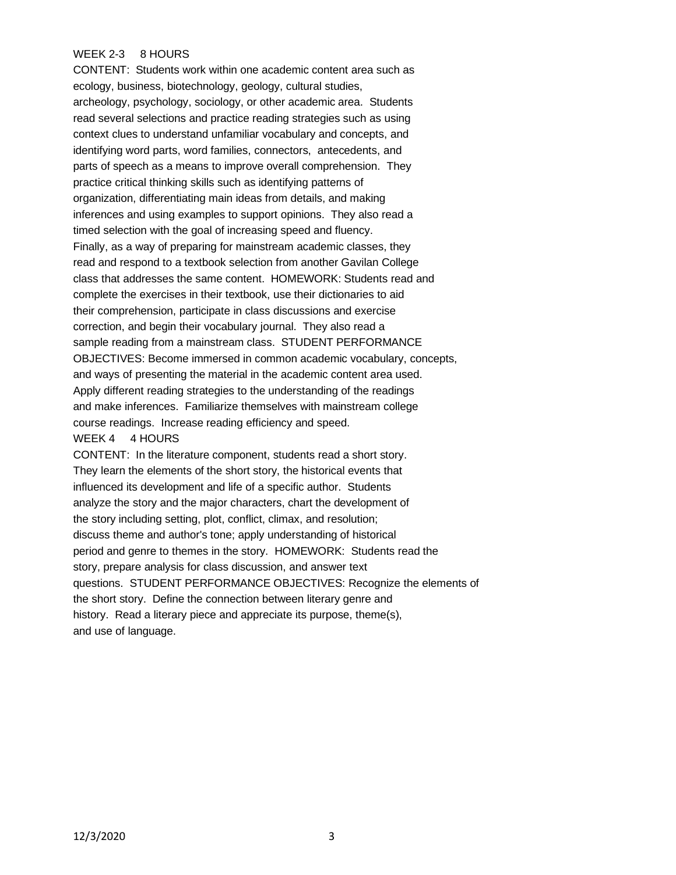## WEEK 2-3 8 HOURS

CONTENT: Students work within one academic content area such as ecology, business, biotechnology, geology, cultural studies, archeology, psychology, sociology, or other academic area. Students read several selections and practice reading strategies such as using context clues to understand unfamiliar vocabulary and concepts, and identifying word parts, word families, connectors, antecedents, and parts of speech as a means to improve overall comprehension. They practice critical thinking skills such as identifying patterns of organization, differentiating main ideas from details, and making inferences and using examples to support opinions. They also read a timed selection with the goal of increasing speed and fluency. Finally, as a way of preparing for mainstream academic classes, they read and respond to a textbook selection from another Gavilan College class that addresses the same content. HOMEWORK: Students read and complete the exercises in their textbook, use their dictionaries to aid their comprehension, participate in class discussions and exercise correction, and begin their vocabulary journal. They also read a sample reading from a mainstream class. STUDENT PERFORMANCE OBJECTIVES: Become immersed in common academic vocabulary, concepts, and ways of presenting the material in the academic content area used. Apply different reading strategies to the understanding of the readings and make inferences. Familiarize themselves with mainstream college course readings. Increase reading efficiency and speed. WEEK 4 4 HOURS

CONTENT: In the literature component, students read a short story. They learn the elements of the short story, the historical events that influenced its development and life of a specific author. Students analyze the story and the major characters, chart the development of the story including setting, plot, conflict, climax, and resolution; discuss theme and author's tone; apply understanding of historical period and genre to themes in the story. HOMEWORK: Students read the story, prepare analysis for class discussion, and answer text questions. STUDENT PERFORMANCE OBJECTIVES: Recognize the elements of the short story. Define the connection between literary genre and history. Read a literary piece and appreciate its purpose, theme(s), and use of language.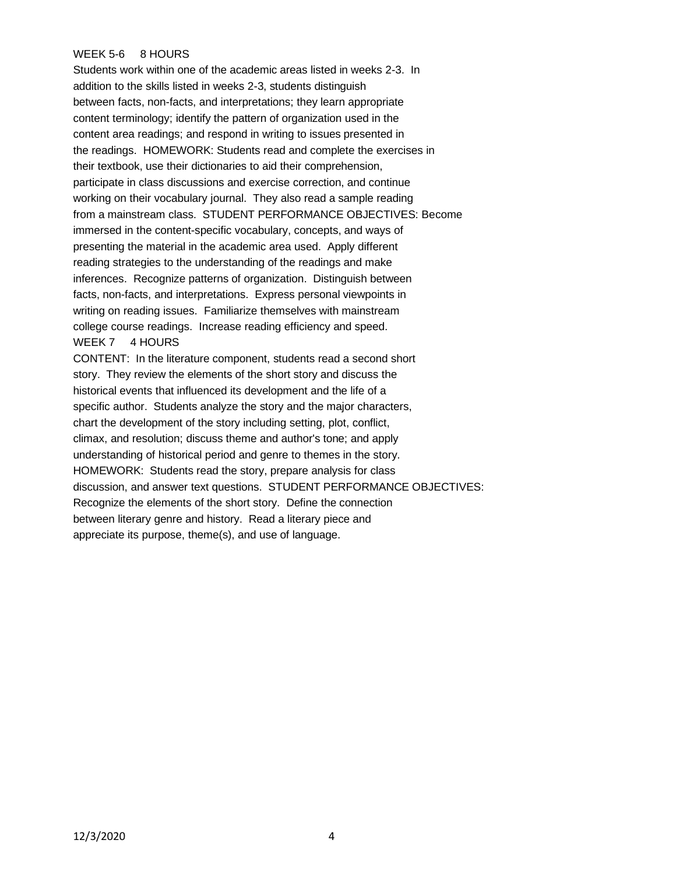## WEEK 5-6 8 HOURS

Students work within one of the academic areas listed in weeks 2-3. In addition to the skills listed in weeks 2-3, students distinguish between facts, non-facts, and interpretations; they learn appropriate content terminology; identify the pattern of organization used in the content area readings; and respond in writing to issues presented in the readings. HOMEWORK: Students read and complete the exercises in their textbook, use their dictionaries to aid their comprehension, participate in class discussions and exercise correction, and continue working on their vocabulary journal. They also read a sample reading from a mainstream class. STUDENT PERFORMANCE OBJECTIVES: Become immersed in the content-specific vocabulary, concepts, and ways of presenting the material in the academic area used. Apply different reading strategies to the understanding of the readings and make inferences. Recognize patterns of organization. Distinguish between facts, non-facts, and interpretations. Express personal viewpoints in writing on reading issues. Familiarize themselves with mainstream college course readings. Increase reading efficiency and speed. WEEK 7 4 HOURS

CONTENT: In the literature component, students read a second short story. They review the elements of the short story and discuss the historical events that influenced its development and the life of a specific author. Students analyze the story and the major characters, chart the development of the story including setting, plot, conflict, climax, and resolution; discuss theme and author's tone; and apply understanding of historical period and genre to themes in the story. HOMEWORK: Students read the story, prepare analysis for class discussion, and answer text questions. STUDENT PERFORMANCE OBJECTIVES: Recognize the elements of the short story. Define the connection between literary genre and history. Read a literary piece and appreciate its purpose, theme(s), and use of language.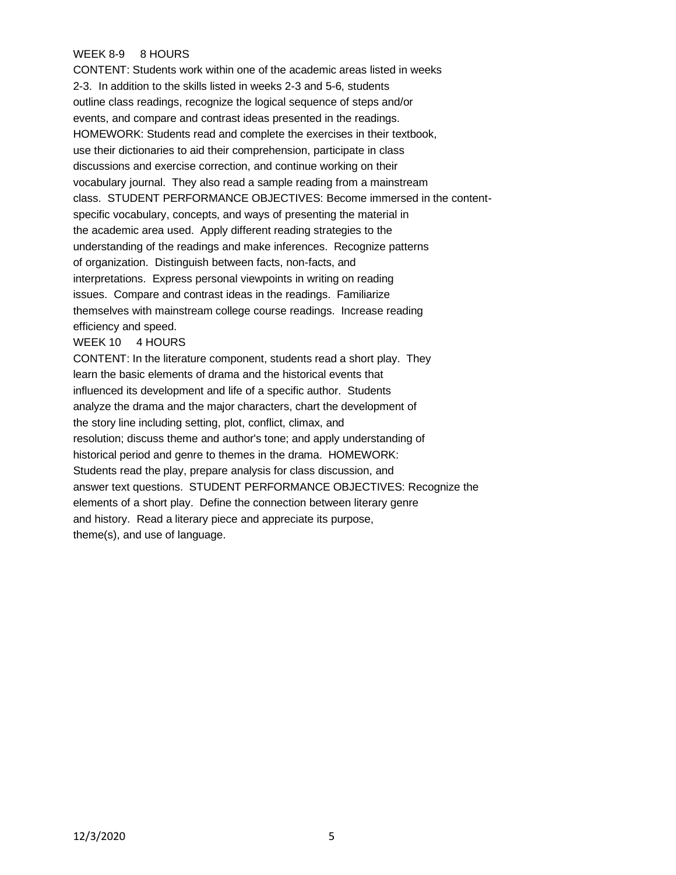## WEEK 8-9 8 HOURS

CONTENT: Students work within one of the academic areas listed in weeks 2-3. In addition to the skills listed in weeks 2-3 and 5-6, students outline class readings, recognize the logical sequence of steps and/or events, and compare and contrast ideas presented in the readings. HOMEWORK: Students read and complete the exercises in their textbook, use their dictionaries to aid their comprehension, participate in class discussions and exercise correction, and continue working on their vocabulary journal. They also read a sample reading from a mainstream class. STUDENT PERFORMANCE OBJECTIVES: Become immersed in the contentspecific vocabulary, concepts, and ways of presenting the material in the academic area used. Apply different reading strategies to the understanding of the readings and make inferences. Recognize patterns of organization. Distinguish between facts, non-facts, and interpretations. Express personal viewpoints in writing on reading issues. Compare and contrast ideas in the readings. Familiarize themselves with mainstream college course readings. Increase reading efficiency and speed.

#### WEEK 10 4 HOURS

CONTENT: In the literature component, students read a short play. They learn the basic elements of drama and the historical events that influenced its development and life of a specific author. Students analyze the drama and the major characters, chart the development of the story line including setting, plot, conflict, climax, and resolution; discuss theme and author's tone; and apply understanding of historical period and genre to themes in the drama. HOMEWORK: Students read the play, prepare analysis for class discussion, and answer text questions. STUDENT PERFORMANCE OBJECTIVES: Recognize the elements of a short play. Define the connection between literary genre and history. Read a literary piece and appreciate its purpose, theme(s), and use of language.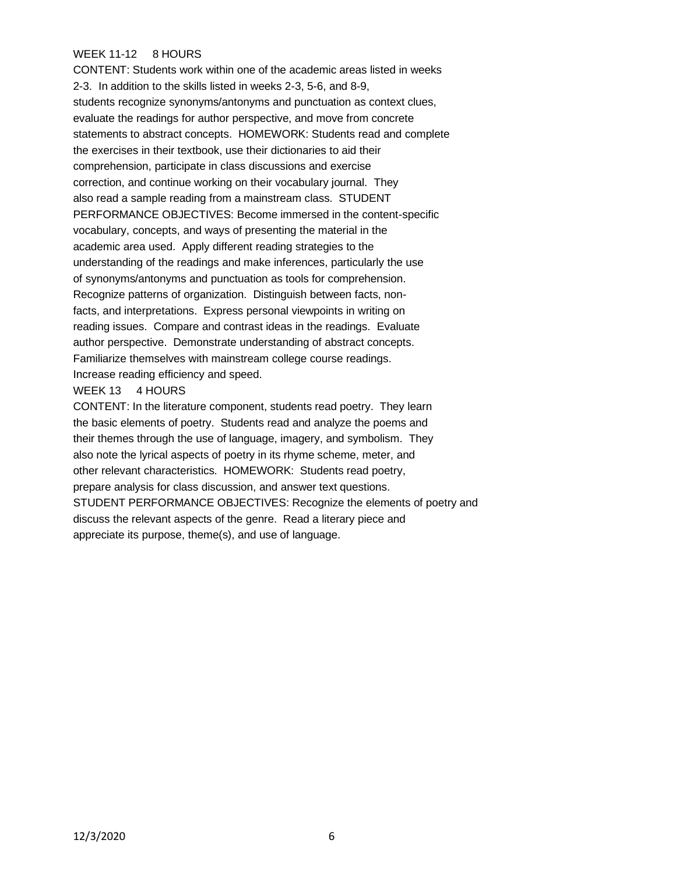## WEEK 11-12 8 HOURS

CONTENT: Students work within one of the academic areas listed in weeks 2-3. In addition to the skills listed in weeks 2-3, 5-6, and 8-9, students recognize synonyms/antonyms and punctuation as context clues, evaluate the readings for author perspective, and move from concrete statements to abstract concepts. HOMEWORK: Students read and complete the exercises in their textbook, use their dictionaries to aid their comprehension, participate in class discussions and exercise correction, and continue working on their vocabulary journal. They also read a sample reading from a mainstream class. STUDENT PERFORMANCE OBJECTIVES: Become immersed in the content-specific vocabulary, concepts, and ways of presenting the material in the academic area used. Apply different reading strategies to the understanding of the readings and make inferences, particularly the use of synonyms/antonyms and punctuation as tools for comprehension. Recognize patterns of organization. Distinguish between facts, nonfacts, and interpretations. Express personal viewpoints in writing on reading issues. Compare and contrast ideas in the readings. Evaluate author perspective. Demonstrate understanding of abstract concepts. Familiarize themselves with mainstream college course readings. Increase reading efficiency and speed.

#### WEEK 13 4 HOURS

CONTENT: In the literature component, students read poetry. They learn the basic elements of poetry. Students read and analyze the poems and their themes through the use of language, imagery, and symbolism. They also note the lyrical aspects of poetry in its rhyme scheme, meter, and other relevant characteristics. HOMEWORK: Students read poetry, prepare analysis for class discussion, and answer text questions. STUDENT PERFORMANCE OBJECTIVES: Recognize the elements of poetry and discuss the relevant aspects of the genre. Read a literary piece and appreciate its purpose, theme(s), and use of language.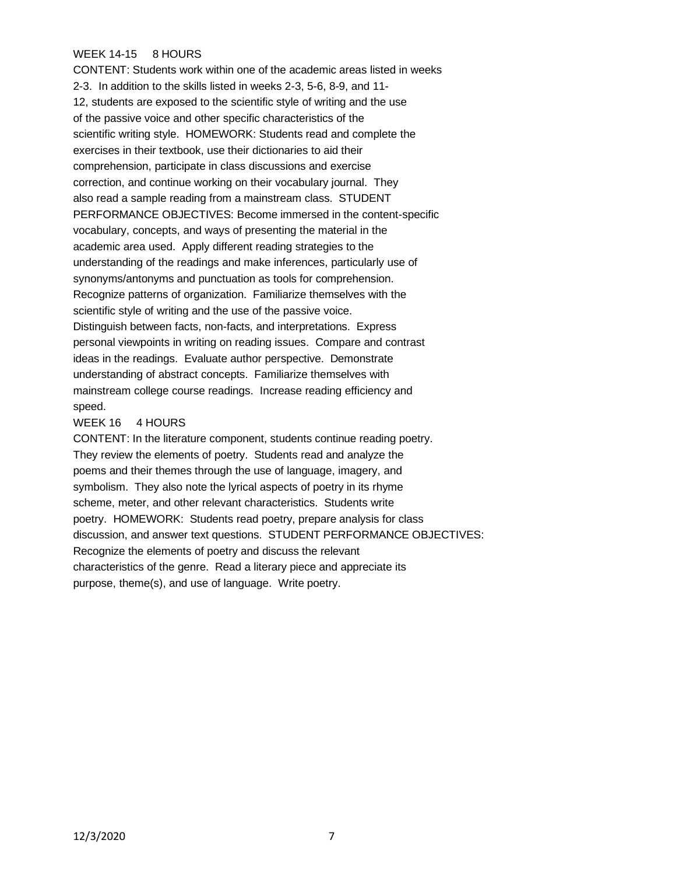## WEEK 14-15 8 HOURS

CONTENT: Students work within one of the academic areas listed in weeks 2-3. In addition to the skills listed in weeks 2-3, 5-6, 8-9, and 11- 12, students are exposed to the scientific style of writing and the use of the passive voice and other specific characteristics of the scientific writing style. HOMEWORK: Students read and complete the exercises in their textbook, use their dictionaries to aid their comprehension, participate in class discussions and exercise correction, and continue working on their vocabulary journal. They also read a sample reading from a mainstream class. STUDENT PERFORMANCE OBJECTIVES: Become immersed in the content-specific vocabulary, concepts, and ways of presenting the material in the academic area used. Apply different reading strategies to the understanding of the readings and make inferences, particularly use of synonyms/antonyms and punctuation as tools for comprehension. Recognize patterns of organization. Familiarize themselves with the scientific style of writing and the use of the passive voice. Distinguish between facts, non-facts, and interpretations. Express personal viewpoints in writing on reading issues. Compare and contrast ideas in the readings. Evaluate author perspective. Demonstrate understanding of abstract concepts. Familiarize themselves with mainstream college course readings. Increase reading efficiency and speed.

### WEEK 16 4 HOURS

CONTENT: In the literature component, students continue reading poetry. They review the elements of poetry. Students read and analyze the poems and their themes through the use of language, imagery, and symbolism. They also note the lyrical aspects of poetry in its rhyme scheme, meter, and other relevant characteristics. Students write poetry. HOMEWORK: Students read poetry, prepare analysis for class discussion, and answer text questions. STUDENT PERFORMANCE OBJECTIVES: Recognize the elements of poetry and discuss the relevant characteristics of the genre. Read a literary piece and appreciate its purpose, theme(s), and use of language. Write poetry.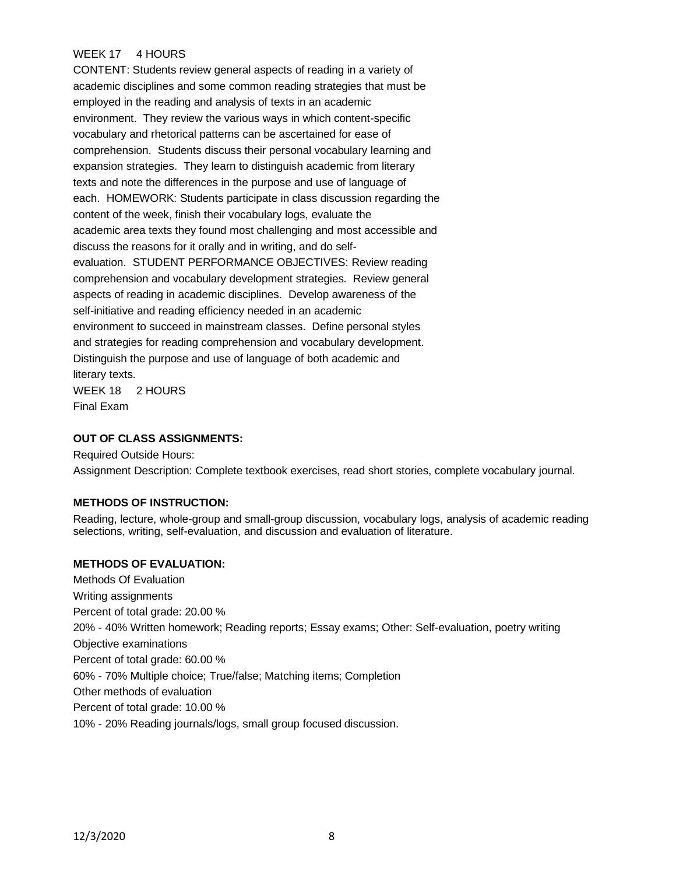## WEEK 17 4 HOURS

CONTENT: Students review general aspects of reading in a variety of academic disciplines and some common reading strategies that must be employed in the reading and analysis of texts in an academic environment. They review the various ways in which content-specific vocabulary and rhetorical patterns can be ascertained for ease of comprehension. Students discuss their personal vocabulary learning and expansion strategies. They learn to distinguish academic from literary texts and note the differences in the purpose and use of language of each. HOMEWORK: Students participate in class discussion regarding the content of the week, finish their vocabulary logs, evaluate the academic area texts they found most challenging and most accessible and discuss the reasons for it orally and in writing, and do selfevaluation. STUDENT PERFORMANCE OBJECTIVES: Review reading comprehension and vocabulary development strategies. Review general aspects of reading in academic disciplines. Develop awareness of the self-initiative and reading efficiency needed in an academic environment to succeed in mainstream classes. Define personal styles and strategies for reading comprehension and vocabulary development. Distinguish the purpose and use of language of both academic and literary texts. WEEK 18 2 HOURS Final Exam

### **OUT OF CLASS ASSIGNMENTS:**

Required Outside Hours: Assignment Description: Complete textbook exercises, read short stories, complete vocabulary journal.

### **METHODS OF INSTRUCTION:**

Reading, lecture, whole-group and small-group discussion, vocabulary logs, analysis of academic reading selections, writing, self-evaluation, and discussion and evaluation of literature.

#### **METHODS OF EVALUATION:**

Methods Of Evaluation Writing assignments Percent of total grade: 20.00 % 20% - 40% Written homework; Reading reports; Essay exams; Other: Self-evaluation, poetry writing Objective examinations Percent of total grade: 60.00 % 60% - 70% Multiple choice; True/false; Matching items; Completion Other methods of evaluation Percent of total grade: 10.00 % 10% - 20% Reading journals/logs, small group focused discussion.